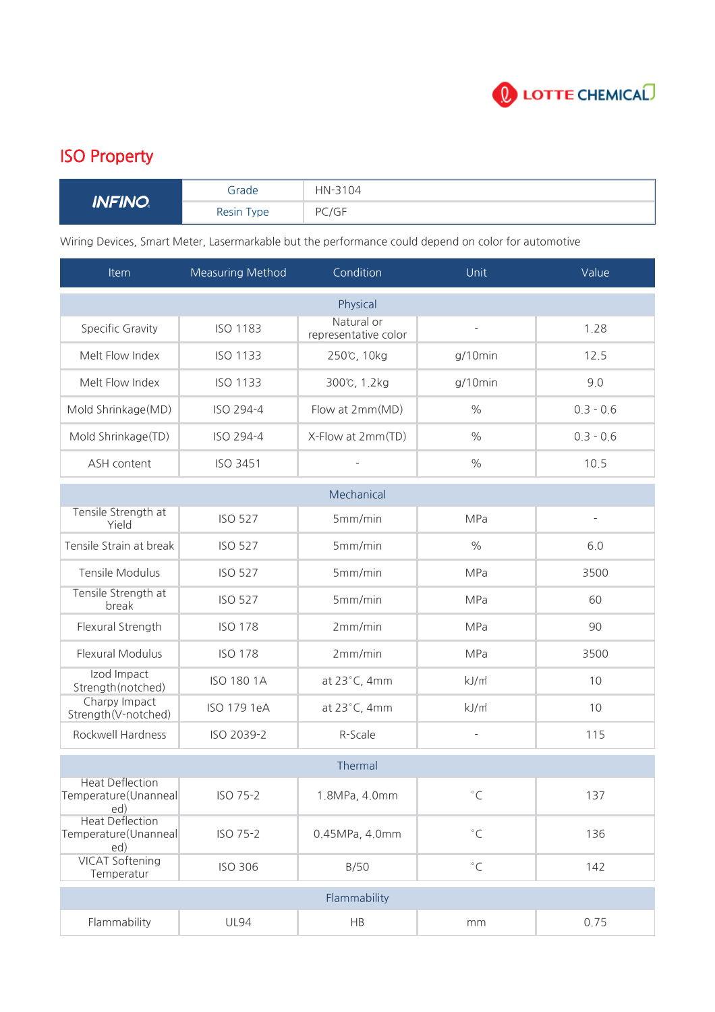

## ISO Property

| INFINO<br><i>u</i> v | Grade         | HN-3104 |
|----------------------|---------------|---------|
|                      | Resin<br>Type | PC/GF   |

Wiring Devices, Smart Meter, Lasermarkable but the performance could depend on color for automotive

| Item                                                  | <b>Measuring Method</b> | Condition                          | Unit               | Value       |  |  |  |
|-------------------------------------------------------|-------------------------|------------------------------------|--------------------|-------------|--|--|--|
|                                                       |                         | Physical                           |                    |             |  |  |  |
| Specific Gravity                                      | <b>ISO 1183</b>         | Natural or<br>representative color | ÷,                 | 1.28        |  |  |  |
| Melt Flow Index                                       | <b>ISO 1133</b>         | 250℃, 10kg                         | g/10min            | 12.5        |  |  |  |
| Melt Flow Index                                       | <b>ISO 1133</b>         | 300℃, 1.2kg                        | $g/10$ min         | 9.0         |  |  |  |
| Mold Shrinkage(MD)                                    | ISO 294-4               | Flow at 2mm(MD)                    | $\%$               | $0.3 - 0.6$ |  |  |  |
| Mold Shrinkage(TD)                                    | ISO 294-4               | X-Flow at 2mm(TD)                  | $\%$               | $0.3 - 0.6$ |  |  |  |
| ASH content                                           | ISO 3451                | ÷,                                 | $\frac{0}{0}$      | 10.5        |  |  |  |
| Mechanical                                            |                         |                                    |                    |             |  |  |  |
| Tensile Strength at<br>Yield                          | <b>ISO 527</b>          | 5mm/min                            | MPa                | ÷           |  |  |  |
| Tensile Strain at break                               | <b>ISO 527</b>          | 5mm/min                            | $\frac{0}{0}$      | 6.0         |  |  |  |
| Tensile Modulus                                       | <b>ISO 527</b>          | 5mm/min                            | <b>MPa</b>         | 3500        |  |  |  |
| Tensile Strength at<br>break                          | <b>ISO 527</b>          | 5mm/min                            | <b>MPa</b>         | 60          |  |  |  |
| Flexural Strength                                     | <b>ISO 178</b>          | 2mm/min                            | <b>MPa</b>         | 90          |  |  |  |
| Flexural Modulus                                      | <b>ISO 178</b>          | 2mm/min                            | MPa                | 3500        |  |  |  |
| Izod Impact<br>Strength(notched)                      | <b>ISO 180 1A</b>       | at $23^{\circ}$ C, 4mm             | kJ/m <sup>2</sup>  | 10          |  |  |  |
| Charpy Impact<br>Strength(V-notched)                  | ISO 179 1eA             | at 23°C, 4mm                       | kJ/m <sup>2</sup>  | 10          |  |  |  |
| Rockwell Hardness                                     | ISO 2039-2              | R-Scale                            | ÷,                 | 115         |  |  |  |
| Thermal                                               |                         |                                    |                    |             |  |  |  |
| <b>Heat Deflection</b><br>Temperature(Unanneal<br>ed) | ISO 75-2                | 1.8MPa, 4.0mm                      | $^{\circ}$ C       | 137         |  |  |  |
| <b>Heat Deflection</b><br>Temperature(Unanneal<br>ed) | ISO 75-2                | 0.45MPa, 4.0mm                     | $^\circ\mathsf{C}$ | 136         |  |  |  |
| <b>VICAT Softening</b><br>Temperatur                  | <b>ISO 306</b>          | B/50                               | $^{\circ}$ C       | 142         |  |  |  |
| Flammability                                          |                         |                                    |                    |             |  |  |  |
| Flammability                                          | <b>UL94</b>             | HB                                 | $\rm mm$           | 0.75        |  |  |  |